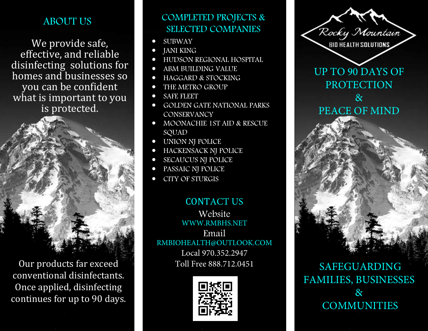## ABOUT US

We provide safe, effective, and reliable disinfecting solutions for homes and businesses so you can be confident what is important to you is protected.

Our products far exceed conventional disinfectants. Once applied, disinfecting continues for up to 90 days.

### COMPLETED PROJECTS & SELECTED COMPANIES

- SUBWAY
- JANI KING
- HUDSON REGIONAL HOSPITAL
- ABM BUILDING VALUE
- HAGGARD & STOCKING
- THE METRO GROUP
- SAFE FLEET
- GOLDEN GATE NATIONAL PARKS **CONSERVANCY**
- MOONACHIE 1ST AID & RESCUE SQUAD
- UNION NJ POLICE
- HACKENSACK NJ POLICE
- SECAUCUS NJ POLICE
- PASSAIC NJ POLICE
- CITY OF STURGIS

CONTACT US Website WWW.RMBHS.NET Email RMBIOHEALTH@OUTLOOK.COM Local 970.352.2947 Toll Free 888.712.0451





**COMMUNITIES**